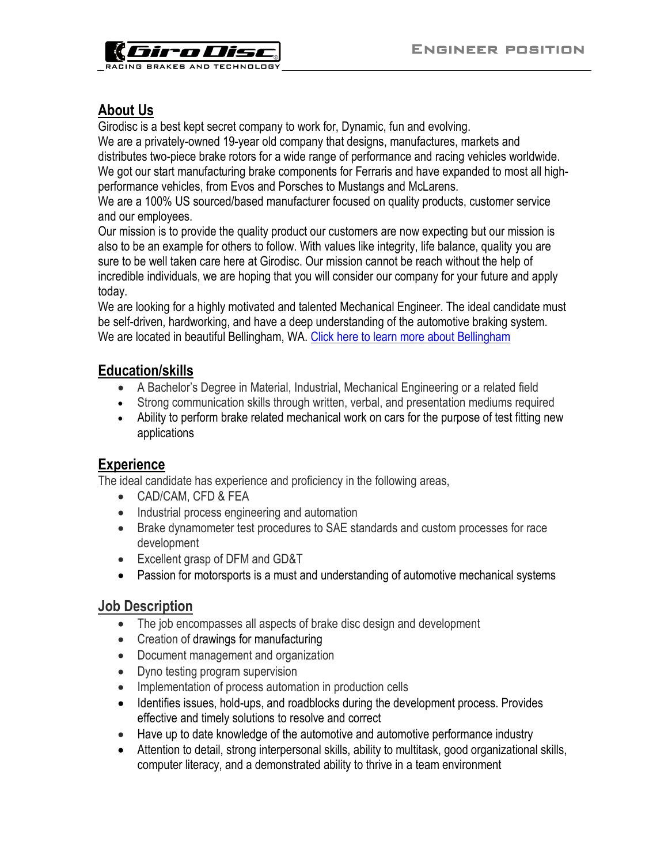

### **About Us**

Girodisc is a best kept secret company to work for, Dynamic, fun and evolving.

We are a privately-owned 19-year old company that designs, manufactures, markets and distributes two-piece brake rotors for a wide range of performance and racing vehicles worldwide. We got our start manufacturing brake components for Ferraris and have expanded to most all highperformance vehicles, from Evos and Porsches to Mustangs and McLarens.

We are a 100% US sourced/based manufacturer focused on quality products, customer service and our employees.

Our mission is to provide the quality product our customers are now expecting but our mission is also to be an example for others to follow. With values like integrity, life balance, quality you are sure to be well taken care here at Girodisc. Our mission cannot be reach without the help of incredible individuals, we are hoping that you will consider our company for your future and apply today.

We are looking for a highly motivated and talented Mechanical Engineer. The ideal candidate must be self-driven, hardworking, and have a deep understanding of the automotive braking system. We are located in beautiful Bellingham, WA. [Click here to learn more about Bellingham](https://www.cob.org/visiting/Pages/about.aspx)

## **Education/skills**

- A Bachelor's Degree in Material, Industrial, Mechanical Engineering or a related field
- Strong communication skills through written, verbal, and presentation mediums required
- Ability to perform brake related mechanical work on cars for the purpose of test fitting new applications

### **Experience**

The ideal candidate has experience and proficiency in the following areas,

- CAD/CAM, CFD & FEA
- Industrial process engineering and automation
- Brake dynamometer test procedures to SAE standards and custom processes for race development
- Excellent grasp of DFM and GD&T
- Passion for motorsports is a must and understanding of automotive mechanical systems

#### **Job Description**

- The job encompasses all aspects of brake disc design and development
- Creation of drawings for manufacturing
- Document management and organization
- Dyno testing program supervision
- Implementation of process automation in production cells
- Identifies issues, hold-ups, and roadblocks during the development process. Provides effective and timely solutions to resolve and correct
- Have up to date knowledge of the automotive and automotive performance industry
- Attention to detail, strong interpersonal skills, ability to multitask, good organizational skills, computer literacy, and a demonstrated ability to thrive in a team environment